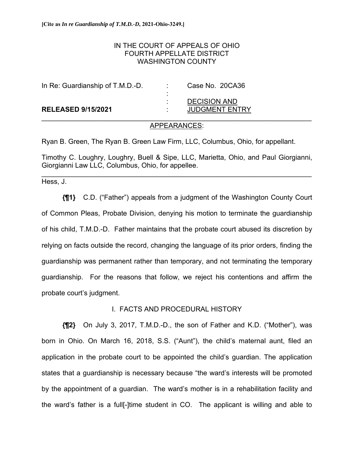# IN THE COURT OF APPEALS OF OHIO FOURTH APPELLATE DISTRICT WASHINGTON COUNTY

| In Re: Guardianship of T.M.D.-D. | <b>STATISTICS</b><br>$\blacksquare$ | Case No. 20CA36                              |
|----------------------------------|-------------------------------------|----------------------------------------------|
| <b>RELEASED 9/15/2021</b>        |                                     | <b>DECISION AND</b><br><b>JUDGMENT ENTRY</b> |

## APPEARANCES:

Ryan B. Green, The Ryan B. Green Law Firm, LLC, Columbus, Ohio, for appellant.

Timothy C. Loughry, Loughry, Buell & Sipe, LLC, Marietta, Ohio, and Paul Giorgianni, Giorgianni Law LLC, Columbus, Ohio, for appellee.

 $\mathcal{L}_\mathcal{L} = \{ \mathcal{L}_\mathcal{L} = \{ \mathcal{L}_\mathcal{L} = \{ \mathcal{L}_\mathcal{L} = \{ \mathcal{L}_\mathcal{L} = \{ \mathcal{L}_\mathcal{L} = \{ \mathcal{L}_\mathcal{L} = \{ \mathcal{L}_\mathcal{L} = \{ \mathcal{L}_\mathcal{L} = \{ \mathcal{L}_\mathcal{L} = \{ \mathcal{L}_\mathcal{L} = \{ \mathcal{L}_\mathcal{L} = \{ \mathcal{L}_\mathcal{L} = \{ \mathcal{L}_\mathcal{L} = \{ \mathcal{L}_\mathcal{$ 

Hess, J.

**{¶1}** C.D. ("Father") appeals from a judgment of the Washington County Court of Common Pleas, Probate Division, denying his motion to terminate the guardianship of his child, T.M.D.-D. Father maintains that the probate court abused its discretion by relying on facts outside the record, changing the language of its prior orders, finding the guardianship was permanent rather than temporary, and not terminating the temporary guardianship. For the reasons that follow, we reject his contentions and affirm the probate court's judgment.

# I. FACTS AND PROCEDURAL HISTORY

**{¶2}** On July 3, 2017, T.M.D.-D., the son of Father and K.D. ("Mother"), was born in Ohio. On March 16, 2018, S.S. ("Aunt"), the child's maternal aunt, filed an application in the probate court to be appointed the child's guardian. The application states that a guardianship is necessary because "the ward's interests will be promoted by the appointment of a guardian. The ward's mother is in a rehabilitation facility and the ward's father is a full[-]time student in CO. The applicant is willing and able to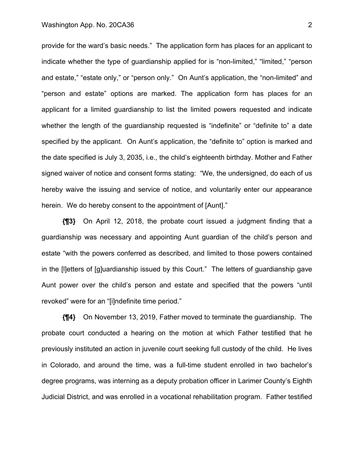#### Washington App. No. 20CA36 2

provide for the ward's basic needs." The application form has places for an applicant to indicate whether the type of guardianship applied for is "non-limited," "limited," "person and estate," "estate only," or "person only." On Aunt's application, the "non-limited" and "person and estate" options are marked. The application form has places for an applicant for a limited guardianship to list the limited powers requested and indicate whether the length of the guardianship requested is "indefinite" or "definite to" a date specified by the applicant. On Aunt's application, the "definite to" option is marked and the date specified is July 3, 2035, i.e., the child's eighteenth birthday. Mother and Father signed waiver of notice and consent forms stating: "We, the undersigned, do each of us hereby waive the issuing and service of notice, and voluntarily enter our appearance herein. We do hereby consent to the appointment of [Aunt]."

**{¶3}** On April 12, 2018, the probate court issued a judgment finding that a guardianship was necessary and appointing Aunt guardian of the child's person and estate "with the powers conferred as described, and limited to those powers contained in the [l]etters of [g]uardianship issued by this Court." The letters of guardianship gave Aunt power over the child's person and estate and specified that the powers "until revoked" were for an "[i]ndefinite time period."

**{¶4}** On November 13, 2019, Father moved to terminate the guardianship. The probate court conducted a hearing on the motion at which Father testified that he previously instituted an action in juvenile court seeking full custody of the child. He lives in Colorado, and around the time, was a full-time student enrolled in two bachelor's degree programs, was interning as a deputy probation officer in Larimer County's Eighth Judicial District, and was enrolled in a vocational rehabilitation program. Father testified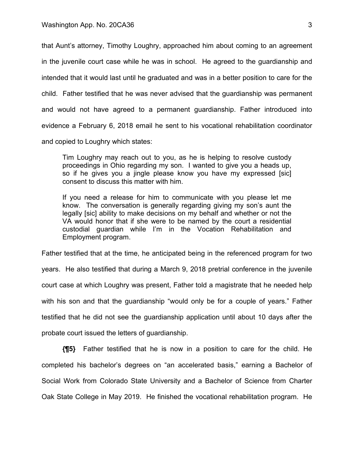that Aunt's attorney, Timothy Loughry, approached him about coming to an agreement in the juvenile court case while he was in school. He agreed to the guardianship and intended that it would last until he graduated and was in a better position to care for the child. Father testified that he was never advised that the guardianship was permanent and would not have agreed to a permanent guardianship. Father introduced into evidence a February 6, 2018 email he sent to his vocational rehabilitation coordinator and copied to Loughry which states:

Tim Loughry may reach out to you, as he is helping to resolve custody proceedings in Ohio regarding my son. I wanted to give you a heads up, so if he gives you a jingle please know you have my expressed [sic] consent to discuss this matter with him.

If you need a release for him to communicate with you please let me know. The conversation is generally regarding giving my son's aunt the legally [sic] ability to make decisions on my behalf and whether or not the VA would honor that if she were to be named by the court a residential custodial guardian while I'm in the Vocation Rehabilitation and Employment program.

Father testified that at the time, he anticipated being in the referenced program for two years. He also testified that during a March 9, 2018 pretrial conference in the juvenile court case at which Loughry was present, Father told a magistrate that he needed help with his son and that the guardianship "would only be for a couple of years." Father testified that he did not see the guardianship application until about 10 days after the probate court issued the letters of guardianship.

**{¶5}** Father testified that he is now in a position to care for the child. He completed his bachelor's degrees on "an accelerated basis," earning a Bachelor of Social Work from Colorado State University and a Bachelor of Science from Charter Oak State College in May 2019. He finished the vocational rehabilitation program. He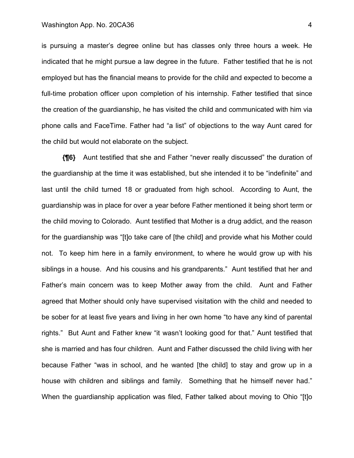is pursuing a master's degree online but has classes only three hours a week. He indicated that he might pursue a law degree in the future. Father testified that he is not employed but has the financial means to provide for the child and expected to become a full-time probation officer upon completion of his internship. Father testified that since the creation of the guardianship, he has visited the child and communicated with him via phone calls and FaceTime. Father had "a list" of objections to the way Aunt cared for the child but would not elaborate on the subject.

**{¶6}** Aunt testified that she and Father "never really discussed" the duration of the guardianship at the time it was established, but she intended it to be "indefinite" and last until the child turned 18 or graduated from high school. According to Aunt, the guardianship was in place for over a year before Father mentioned it being short term or the child moving to Colorado. Aunt testified that Mother is a drug addict, and the reason for the guardianship was "[t]o take care of [the child] and provide what his Mother could not. To keep him here in a family environment, to where he would grow up with his siblings in a house. And his cousins and his grandparents." Aunt testified that her and Father's main concern was to keep Mother away from the child. Aunt and Father agreed that Mother should only have supervised visitation with the child and needed to be sober for at least five years and living in her own home "to have any kind of parental rights." But Aunt and Father knew "it wasn't looking good for that." Aunt testified that she is married and has four children. Aunt and Father discussed the child living with her because Father "was in school, and he wanted [the child] to stay and grow up in a house with children and siblings and family. Something that he himself never had." When the guardianship application was filed, Father talked about moving to Ohio "[t]o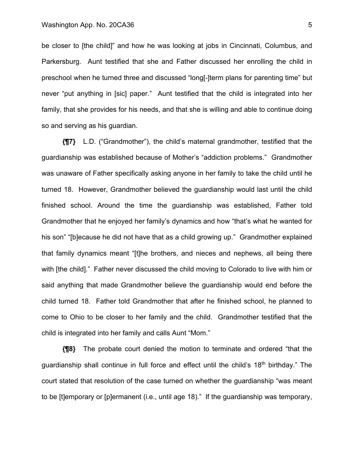#### Washington App. No. 20CA36 5

be closer to [the child]" and how he was looking at jobs in Cincinnati, Columbus, and Parkersburg. Aunt testified that she and Father discussed her enrolling the child in preschool when he turned three and discussed "long[-]term plans for parenting time" but never "put anything in [sic] paper." Aunt testified that the child is integrated into her family, that she provides for his needs, and that she is willing and able to continue doing so and serving as his guardian.

**{¶7}** L.D. ("Grandmother"), the child's maternal grandmother, testified that the guardianship was established because of Mother's "addiction problems." Grandmother was unaware of Father specifically asking anyone in her family to take the child until he turned 18. However, Grandmother believed the guardianship would last until the child finished school. Around the time the guardianship was established, Father told Grandmother that he enjoyed her family's dynamics and how "that's what he wanted for his son" "[b]ecause he did not have that as a child growing up." Grandmother explained that family dynamics meant "[t]he brothers, and nieces and nephews, all being there with [the child]." Father never discussed the child moving to Colorado to live with him or said anything that made Grandmother believe the guardianship would end before the child turned 18. Father told Grandmother that after he finished school, he planned to come to Ohio to be closer to her family and the child. Grandmother testified that the child is integrated into her family and calls Aunt "Mom."

**{¶8}** The probate court denied the motion to terminate and ordered "that the guardianship shall continue in full force and effect until the child's  $18<sup>th</sup>$  birthday." The court stated that resolution of the case turned on whether the guardianship "was meant to be [t]emporary or [p]ermanent (i.e., until age 18)." If the guardianship was temporary,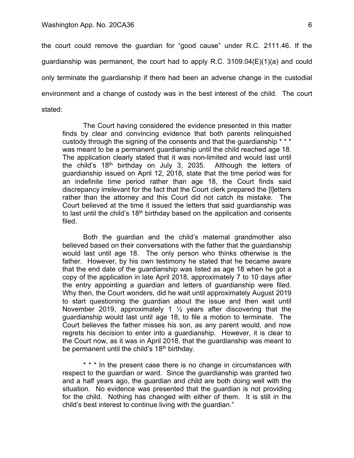the court could remove the guardian for "good cause" under R.C. 2111.46. If the guardianship was permanent, the court had to apply R.C. 3109.04(E)(1)(a) and could only terminate the guardianship if there had been an adverse change in the custodial environment and a change of custody was in the best interest of the child. The court stated:

The Court having considered the evidence presented in this matter finds by clear and convincing evidence that both parents relinquished custody through the signing of the consents and that the guardianship \* \* \* was meant to be a permanent guardianship until the child reached age 18. The application clearly stated that it was non-limited and would last until the child's 18th birthday on July 3, 2035. Although the letters of guardianship issued on April 12, 2018, state that the time period was for an indefinite time period rather than age 18, the Court finds said discrepancy irrelevant for the fact that the Court clerk prepared the [l]etters rather than the attorney and this Court did not catch its mistake. The Court believed at the time it issued the letters that said guardianship was to last until the child's  $18<sup>th</sup>$  birthday based on the application and consents filed.

Both the guardian and the child's maternal grandmother also believed based on their conversations with the father that the guardianship would last until age 18. The only person who thinks otherwise is the father. However, by his own testimony he stated that he became aware that the end date of the guardianship was listed as age 18 when he got a copy of the application in late April 2018, approximately 7 to 10 days after the entry appointing a guardian and letters of guardianship were filed. Why then, the Court wonders, did he wait until approximately August 2019 to start questioning the guardian about the issue and then wait until November 2019, approximately 1  $\frac{1}{2}$  years after discovering that the guardianship would last until age 18, to file a motion to terminate. The Court believes the father misses his son, as any parent would, and now regrets his decision to enter into a guardianship. However, it is clear to the Court now, as it was in April 2018, that the guardianship was meant to be permanent until the child's 18th birthday.

\* \* \* In the present case there is no change in circumstances with respect to the guardian or ward. Since the guardianship was granted two and a half years ago, the guardian and child are both doing well with the situation. No evidence was presented that the guardian is not providing for the child. Nothing has changed with either of them. It is still in the child's best interest to continue living with the guardian."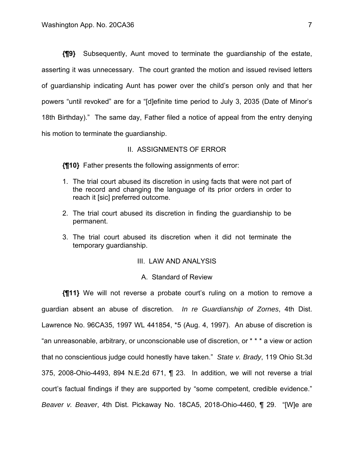**{¶9}** Subsequently, Aunt moved to terminate the guardianship of the estate, asserting it was unnecessary. The court granted the motion and issued revised letters of guardianship indicating Aunt has power over the child's person only and that her powers "until revoked" are for a "[d]efinite time period to July 3, 2035 (Date of Minor's 18th Birthday)." The same day, Father filed a notice of appeal from the entry denying his motion to terminate the guardianship.

## II. ASSIGNMENTS OF ERROR

**{¶10}** Father presents the following assignments of error:

- 1. The trial court abused its discretion in using facts that were not part of the record and changing the language of its prior orders in order to reach it [sic] preferred outcome.
- 2. The trial court abused its discretion in finding the guardianship to be permanent.
- 3. The trial court abused its discretion when it did not terminate the temporary guardianship.

# III. LAW AND ANALYSIS

### A. Standard of Review

**{¶11}** We will not reverse a probate court's ruling on a motion to remove a guardian absent an abuse of discretion. *In re Guardianship of Zornes*, 4th Dist. Lawrence No. 96CA35, 1997 WL 441854, \*5 (Aug. 4, 1997). An abuse of discretion is "an unreasonable, arbitrary, or unconscionable use of discretion, or \* \* \* a view or action that no conscientious judge could honestly have taken." *State v. Brady*, 119 Ohio St.3d 375, 2008-Ohio-4493, 894 N.E.2d 671, ¶ 23. In addition, we will not reverse a trial court's factual findings if they are supported by "some competent, credible evidence." *Beaver v. Beaver*, 4th Dist. Pickaway No. 18CA5, 2018-Ohio-4460, ¶ 29. "[W]e are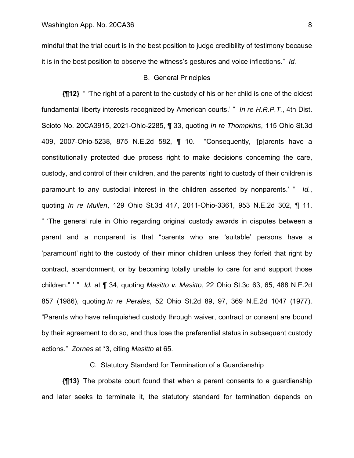mindful that the trial court is in the best position to judge credibility of testimony because it is in the best position to observe the witness's gestures and voice inflections." *Id.*

## B. General Principles

**{¶12}** " 'The right of a parent to the custody of his or her child is one of the oldest fundamental liberty interests recognized by American courts.' " *In re H.R.P.T.*, 4th Dist. Scioto No. 20CA3915, 2021-Ohio-2285, ¶ 33, quoting *In re Thompkins*, 115 Ohio St.3d 409, 2007-Ohio-5238, 875 N.E.2d 582, ¶ 10. "Consequently, '[p]arents have a constitutionally protected due process right to make decisions concerning the care, custody, and control of their children, and the parents' right to custody of their children is paramount to any custodial interest in the children asserted by nonparents.' " *Id.*, quoting *In re Mullen*, 129 Ohio St.3d 417, 2011-Ohio-3361, 953 N.E.2d 302, ¶ 11. " 'The general rule in Ohio regarding original custody awards in disputes between a parent and a nonparent is that "parents who are 'suitable' persons have a 'paramount' right to the custody of their minor children unless they forfeit that right by contract, abandonment, or by becoming totally unable to care for and support those children." ' " *Id.* at ¶ 34, quoting *Masitto v. Masitto*, 22 Ohio St.3d 63, 65, 488 N.E.2d 857 (1986), quoting *In re Perales*, 52 Ohio St.2d 89, 97, 369 N.E.2d 1047 (1977). "Parents who have relinquished custody through waiver, contract or consent are bound by their agreement to do so, and thus lose the preferential status in subsequent custody actions." *Zornes* at \*3, citing *Masitto* at 65.

C. Statutory Standard for Termination of a Guardianship

**{¶13}** The probate court found that when a parent consents to a guardianship and later seeks to terminate it, the statutory standard for termination depends on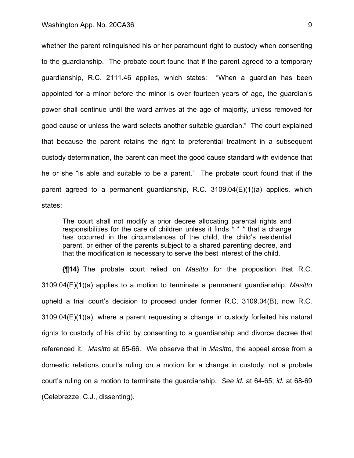whether the parent relinquished his or her paramount right to custody when consenting to the guardianship. The probate court found that if the parent agreed to a temporary guardianship, R.C. 2111.46 applies, which states: "When a guardian has been appointed for a minor before the minor is over fourteen years of age, the guardian's power shall continue until the ward arrives at the age of majority, unless removed for good cause or unless the ward selects another suitable guardian." The court explained that because the parent retains the right to preferential treatment in a subsequent custody determination, the parent can meet the good cause standard with evidence that he or she "is able and suitable to be a parent." The probate court found that if the parent agreed to a permanent guardianship, R.C. 3109.04(E)(1)(a) applies, which states:

The court shall not modify a prior decree allocating parental rights and responsibilities for the care of children unless it finds \* \* \* that a change has occurred in the circumstances of the child, the child's residential parent, or either of the parents subject to a shared parenting decree, and that the modification is necessary to serve the best interest of the child.

**{¶14}** The probate court relied on *Masitto* for the proposition that R.C. 3109.04(E)(1)(a) applies to a motion to terminate a permanent guardianship. *Masitto*  upheld a trial court's decision to proceed under former R.C. 3109.04(B), now R.C. 3109.04(E)(1)(a), where a parent requesting a change in custody forfeited his natural rights to custody of his child by consenting to a guardianship and divorce decree that referenced it. *Masitto* at 65-66. We observe that in *Masitto,* the appeal arose from a domestic relations court's ruling on a motion for a change in custody, not a probate court's ruling on a motion to terminate the guardianship. *See id.* at 64-65; *id.* at 68-69 (Celebrezze, C.J., dissenting).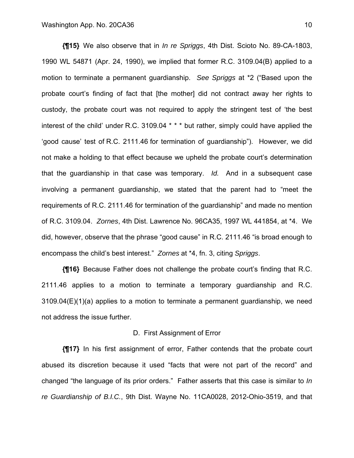**{¶15}** We also observe that in *In re Spriggs*, 4th Dist. Scioto No. 89-CA-1803, 1990 WL 54871 (Apr. 24, 1990), we implied that former R.C. 3109.04(B) applied to a motion to terminate a permanent guardianship. *See Spriggs* at \*2 ("Based upon the probate court's finding of fact that [the mother] did not contract away her rights to custody, the probate court was not required to apply the stringent test of 'the best interest of the child' under R.C. 3109.04 \* \* \* but rather, simply could have applied the 'good cause' test of R.C. 2111.46 for termination of guardianship"). However, we did not make a holding to that effect because we upheld the probate court's determination that the guardianship in that case was temporary. *Id.* And in a subsequent case involving a permanent guardianship, we stated that the parent had to "meet the requirements of R.C. 2111.46 for termination of the guardianship" and made no mention of R.C. 3109.04. *Zornes*, 4th Dist. Lawrence No. 96CA35, 1997 WL 441854, at \*4. We did, however, observe that the phrase "good cause" in R.C. 2111.46 "is broad enough to encompass the child's best interest." *Zornes* at \*4, fn. 3, citing *Spriggs*.

**{¶16}** Because Father does not challenge the probate court's finding that R.C. 2111.46 applies to a motion to terminate a temporary guardianship and R.C.  $3109.04(E)(1)(a)$  applies to a motion to terminate a permanent quardianship, we need not address the issue further.

#### D. First Assignment of Error

**{¶17}** In his first assignment of error, Father contends that the probate court abused its discretion because it used "facts that were not part of the record" and changed "the language of its prior orders." Father asserts that this case is similar to *In re Guardianship of B.I.C.*, 9th Dist. Wayne No. 11CA0028, 2012-Ohio-3519, and that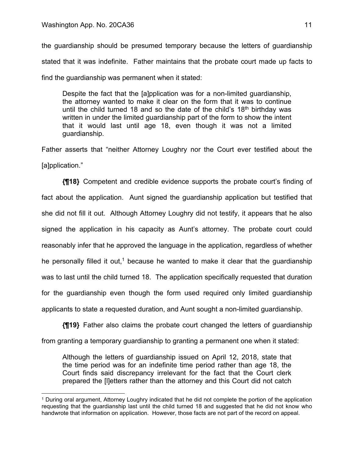the guardianship should be presumed temporary because the letters of guardianship stated that it was indefinite. Father maintains that the probate court made up facts to find the guardianship was permanent when it stated:

Despite the fact that the [a]pplication was for a non-limited guardianship, the attorney wanted to make it clear on the form that it was to continue until the child turned 18 and so the date of the child's 18<sup>th</sup> birthday was written in under the limited guardianship part of the form to show the intent that it would last until age 18, even though it was not a limited guardianship.

Father asserts that "neither Attorney Loughry nor the Court ever testified about the [a]pplication."

**{¶18}** Competent and credible evidence supports the probate court's finding of fact about the application. Aunt signed the guardianship application but testified that she did not fill it out. Although Attorney Loughry did not testify, it appears that he also signed the application in his capacity as Aunt's attorney. The probate court could reasonably infer that he approved the language in the application, regardless of whether he personally filled it out,<sup>1</sup> because he wanted to make it clear that the guardianship was to last until the child turned 18. The application specifically requested that duration for the guardianship even though the form used required only limited guardianship applicants to state a requested duration, and Aunt sought a non-limited guardianship.

**{¶19}** Father also claims the probate court changed the letters of guardianship from granting a temporary guardianship to granting a permanent one when it stated:

Although the letters of guardianship issued on April 12, 2018, state that the time period was for an indefinite time period rather than age 18, the Court finds said discrepancy irrelevant for the fact that the Court clerk prepared the [l]etters rather than the attorney and this Court did not catch

<sup>1</sup> During oral argument, Attorney Loughry indicated that he did not complete the portion of the application requesting that the guardianship last until the child turned 18 and suggested that he did not know who handwrote that information on application. However, those facts are not part of the record on appeal.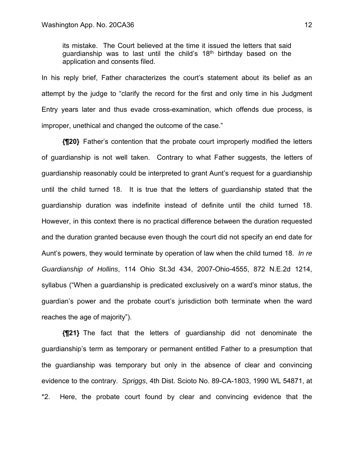its mistake. The Court believed at the time it issued the letters that said guardianship was to last until the child's 18<sup>th</sup> birthday based on the application and consents filed.

In his reply brief, Father characterizes the court's statement about its belief as an attempt by the judge to "clarify the record for the first and only time in his Judgment Entry years later and thus evade cross-examination, which offends due process, is improper, unethical and changed the outcome of the case."

**{¶20}** Father's contention that the probate court improperly modified the letters of guardianship is not well taken.Contrary to what Father suggests, the letters of guardianship reasonably could be interpreted to grant Aunt's request for a guardianship until the child turned 18.It is true that the letters of guardianship stated that the guardianship duration was indefinite instead of definite until the child turned 18. However, in this context there is no practical difference between the duration requested and the duration granted because even though the court did not specify an end date for Aunt's powers, they would terminate by operation of law when the child turned 18. *In re Guardianship of Hollins*, 114 Ohio St.3d 434, 2007-Ohio-4555, 872 N.E.2d 1214, syllabus ("When a guardianship is predicated exclusively on a ward's minor status, the guardian's power and the probate court's jurisdiction both terminate when the ward reaches the age of majority").

**{¶21}** The fact that the letters of guardianship did not denominate the guardianship's term as temporary or permanent entitled Father to a presumption that the guardianship was temporary but only in the absence of clear and convincing evidence to the contrary. *Spriggs*, 4th Dist. Scioto No. 89-CA-1803, 1990 WL 54871, at \*2.Here, the probate court found by clear and convincing evidence that the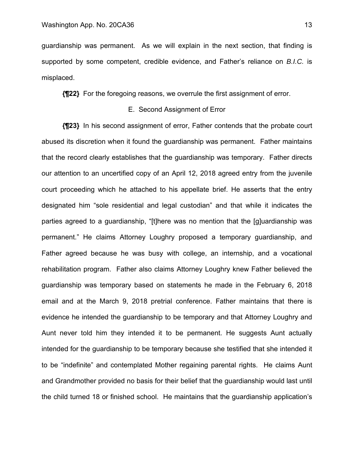guardianship was permanent. As we will explain in the next section, that finding is supported by some competent, credible evidence, and Father's reliance on *B.I.C.* is misplaced.

**{¶22}** For the foregoing reasons, we overrule the first assignment of error.

## E. Second Assignment of Error

**{¶23}** In his second assignment of error, Father contends that the probate court abused its discretion when it found the guardianship was permanent. Father maintains that the record clearly establishes that the guardianship was temporary. Father directs our attention to an uncertified copy of an April 12, 2018 agreed entry from the juvenile court proceeding which he attached to his appellate brief. He asserts that the entry designated him "sole residential and legal custodian" and that while it indicates the parties agreed to a guardianship, "[t]here was no mention that the [g]uardianship was permanent." He claims Attorney Loughry proposed a temporary guardianship, and Father agreed because he was busy with college, an internship, and a vocational rehabilitation program. Father also claims Attorney Loughry knew Father believed the guardianship was temporary based on statements he made in the February 6, 2018 email and at the March 9, 2018 pretrial conference. Father maintains that there is evidence he intended the guardianship to be temporary and that Attorney Loughry and Aunt never told him they intended it to be permanent. He suggests Aunt actually intended for the guardianship to be temporary because she testified that she intended it to be "indefinite" and contemplated Mother regaining parental rights. He claims Aunt and Grandmother provided no basis for their belief that the guardianship would last until the child turned 18 or finished school. He maintains that the guardianship application's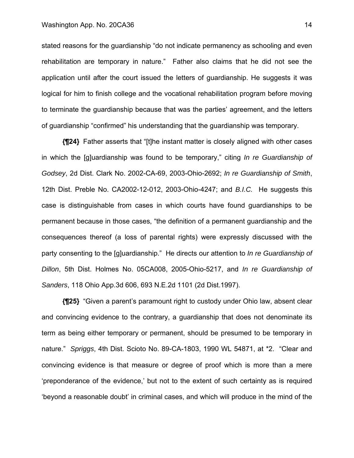#### Washington App. No. 20CA36 14

stated reasons for the guardianship "do not indicate permanency as schooling and even rehabilitation are temporary in nature." Father also claims that he did not see the application until after the court issued the letters of guardianship. He suggests it was logical for him to finish college and the vocational rehabilitation program before moving to terminate the guardianship because that was the parties' agreement, and the letters of guardianship "confirmed" his understanding that the guardianship was temporary.

**{¶24}** Father asserts that "[t]he instant matter is closely aligned with other cases in which the [g]uardianship was found to be temporary," citing *In re Guardianship of Godsey*, 2d Dist. Clark No. 2002-CA-69, 2003-Ohio-2692; *In re Guardianship of Smith*, 12th Dist. Preble No. CA2002-12-012, 2003-Ohio-4247; and *B.I.C.* He suggests this case is distinguishable from cases in which courts have found guardianships to be permanent because in those cases, "the definition of a permanent guardianship and the consequences thereof (a loss of parental rights) were expressly discussed with the party consenting to the [g]uardianship." He directs our attention to *In re Guardianship of Dillon*, 5th Dist. Holmes No. 05CA008, 2005-Ohio-5217, and *In re Guardianship of Sanders*, 118 Ohio App.3d 606, 693 N.E.2d 1101 (2d Dist.1997).

**{¶25}** "Given a parent's paramount right to custody under Ohio law, absent clear and convincing evidence to the contrary, a guardianship that does not denominate its term as being either temporary or permanent, should be presumed to be temporary in nature." *Spriggs*, 4th Dist. Scioto No. 89-CA-1803, 1990 WL 54871, at \*2. "Clear and convincing evidence is that measure or degree of proof which is more than a mere 'preponderance of the evidence,' but not to the extent of such certainty as is required 'beyond a reasonable doubt' in criminal cases, and which will produce in the mind of the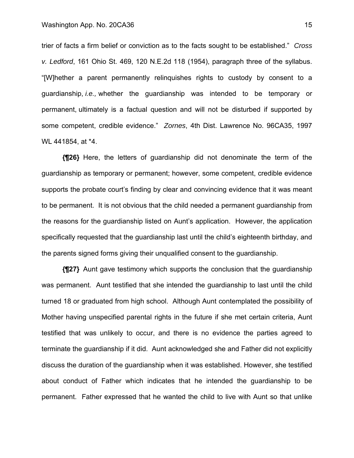trier of facts a firm belief or conviction as to the facts sought to be established." *Cross v. Ledford*, 161 Ohio St. 469, 120 N.E.2d 118 (1954), paragraph three of the syllabus. "[W]hether a parent permanently relinquishes rights to custody by consent to a guardianship, *i.e.,* whether the guardianship was intended to be temporary or permanent, ultimately is a factual question and will not be disturbed if supported by some competent, credible evidence." *Zornes*, 4th Dist. Lawrence No. 96CA35, 1997 WL 441854, at \*4.

**{¶26}** Here, the letters of guardianship did not denominate the term of the guardianship as temporary or permanent; however, some competent, credible evidence supports the probate court's finding by clear and convincing evidence that it was meant to be permanent. It is not obvious that the child needed a permanent guardianship from the reasons for the guardianship listed on Aunt's application. However, the application specifically requested that the guardianship last until the child's eighteenth birthday, and the parents signed forms giving their unqualified consent to the guardianship.

**{¶27}** Aunt gave testimony which supports the conclusion that the guardianship was permanent. Aunt testified that she intended the guardianship to last until the child turned 18 or graduated from high school. Although Aunt contemplated the possibility of Mother having unspecified parental rights in the future if she met certain criteria, Aunt testified that was unlikely to occur, and there is no evidence the parties agreed to terminate the guardianship if it did. Aunt acknowledged she and Father did not explicitly discuss the duration of the guardianship when it was established. However, she testified about conduct of Father which indicates that he intended the guardianship to be permanent. Father expressed that he wanted the child to live with Aunt so that unlike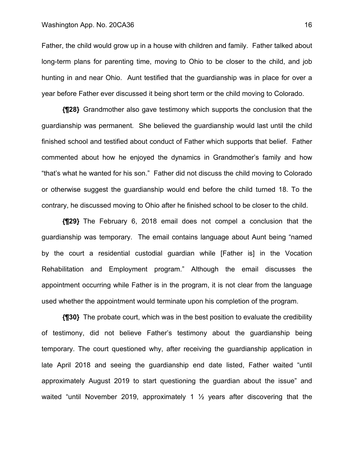Father, the child would grow up in a house with children and family. Father talked about long-term plans for parenting time, moving to Ohio to be closer to the child, and job hunting in and near Ohio. Aunt testified that the guardianship was in place for over a year before Father ever discussed it being short term or the child moving to Colorado.

**{¶28}** Grandmother also gave testimony which supports the conclusion that the guardianship was permanent. She believed the guardianship would last until the child finished school and testified about conduct of Father which supports that belief. Father commented about how he enjoyed the dynamics in Grandmother's family and how "that's what he wanted for his son." Father did not discuss the child moving to Colorado or otherwise suggest the guardianship would end before the child turned 18. To the contrary, he discussed moving to Ohio after he finished school to be closer to the child.

**{¶29}** The February 6, 2018 email does not compel a conclusion that the guardianship was temporary. The email contains language about Aunt being "named by the court a residential custodial guardian while [Father is] in the Vocation Rehabilitation and Employment program." Although the email discusses the appointment occurring while Father is in the program, it is not clear from the language used whether the appointment would terminate upon his completion of the program.

**{¶30}** The probate court, which was in the best position to evaluate the credibility of testimony, did not believe Father's testimony about the guardianship being temporary. The court questioned why, after receiving the guardianship application in late April 2018 and seeing the guardianship end date listed, Father waited "until approximately August 2019 to start questioning the guardian about the issue" and waited "until November 2019, approximately 1 ½ years after discovering that the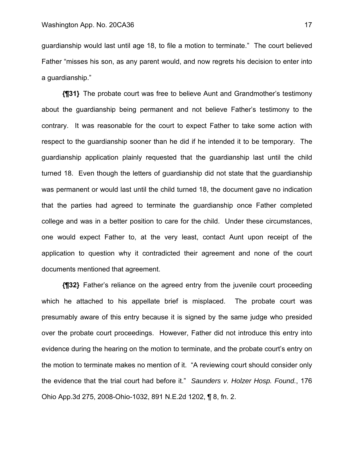guardianship would last until age 18, to file a motion to terminate." The court believed Father "misses his son, as any parent would, and now regrets his decision to enter into a guardianship."

**{¶31}** The probate court was free to believe Aunt and Grandmother's testimony about the guardianship being permanent and not believe Father's testimony to the contrary. It was reasonable for the court to expect Father to take some action with respect to the guardianship sooner than he did if he intended it to be temporary. The guardianship application plainly requested that the guardianship last until the child turned 18. Even though the letters of guardianship did not state that the guardianship was permanent or would last until the child turned 18, the document gave no indication that the parties had agreed to terminate the guardianship once Father completed college and was in a better position to care for the child. Under these circumstances, one would expect Father to, at the very least, contact Aunt upon receipt of the application to question why it contradicted their agreement and none of the court documents mentioned that agreement.

**{¶32}** Father's reliance on the agreed entry from the juvenile court proceeding which he attached to his appellate brief is misplaced. The probate court was presumably aware of this entry because it is signed by the same judge who presided over the probate court proceedings. However, Father did not introduce this entry into evidence during the hearing on the motion to terminate, and the probate court's entry on the motion to terminate makes no mention of it. "A reviewing court should consider only the evidence that the trial court had before it." *Saunders v. Holzer Hosp. Found.*, 176 Ohio App.3d 275, 2008-Ohio-1032, 891 N.E.2d 1202, ¶ 8, fn. 2.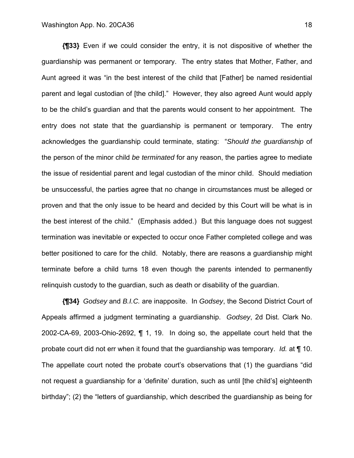**{¶33}** Even if we could consider the entry, it is not dispositive of whether the guardianship was permanent or temporary. The entry states that Mother, Father, and Aunt agreed it was "in the best interest of the child that [Father] be named residential parent and legal custodian of [the child]." However, they also agreed Aunt would apply to be the child's guardian and that the parents would consent to her appointment. The entry does not state that the guardianship is permanent or temporary. The entry acknowledges the guardianship could terminate, stating: "*Should the guardianship* of the person of the minor child *be terminated* for any reason, the parties agree to mediate the issue of residential parent and legal custodian of the minor child. Should mediation be unsuccessful, the parties agree that no change in circumstances must be alleged or proven and that the only issue to be heard and decided by this Court will be what is in the best interest of the child." (Emphasis added.) But this language does not suggest termination was inevitable or expected to occur once Father completed college and was better positioned to care for the child. Notably, there are reasons a guardianship might terminate before a child turns 18 even though the parents intended to permanently relinquish custody to the guardian, such as death or disability of the guardian.

**{¶34}** *Godsey* and *B.I.C.* are inapposite. In *Godsey*, the Second District Court of Appeals affirmed a judgment terminating a guardianship. *Godsey*, 2d Dist. Clark No. 2002-CA-69, 2003-Ohio-2692, ¶ 1, 19. In doing so, the appellate court held that the probate court did not err when it found that the guardianship was temporary. *Id.* at ¶ 10. The appellate court noted the probate court's observations that (1) the guardians "did not request a guardianship for a 'definite' duration, such as until [the child's] eighteenth birthday"; (2) the "letters of guardianship, which described the guardianship as being for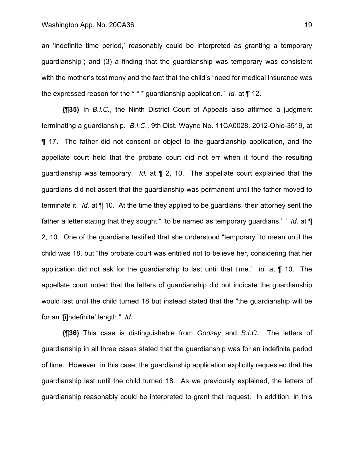an 'indefinite time period,' reasonably could be interpreted as granting a temporary guardianship"; and (3) a finding that the guardianship was temporary was consistent with the mother's testimony and the fact that the child's "need for medical insurance was the expressed reason for the \* \* \* guardianship application." *Id.* at ¶ 12.

**{¶35}** In *B.I.C.*, the Ninth District Court of Appeals also affirmed a judgment terminating a guardianship. *B.I.C.*, 9th Dist. Wayne No. 11CA0028, 2012-Ohio-3519, at ¶ 17. The father did not consent or object to the guardianship application, and the appellate court held that the probate court did not err when it found the resulting guardianship was temporary. *Id.* at ¶ 2, 10. The appellate court explained that the guardians did not assert that the guardianship was permanent until the father moved to terminate it. *Id.* at ¶ 10.At the time they applied to be guardians, their attorney sent the father a letter stating that they sought " 'to be named as temporary guardians.' " *Id.* at ¶ 2, 10.One of the guardians testified that she understood "temporary" to mean until the child was 18, but "the probate court was entitled not to believe her, considering that her application did not ask for the guardianship to last until that time." *Id.* at ¶ 10. The appellate court noted that the letters of guardianship did not indicate the guardianship would last until the child turned 18 but instead stated that the "the guardianship will be for an '[i]ndefinite' length." *Id.*

**{¶36}** This case is distinguishable from *Godsey* and *B.I.C*. The letters of guardianship in all three cases stated that the guardianship was for an indefinite period of time. However, in this case, the guardianship application explicitly requested that the guardianship last until the child turned 18. As we previously explained, the letters of guardianship reasonably could be interpreted to grant that request. In addition, in this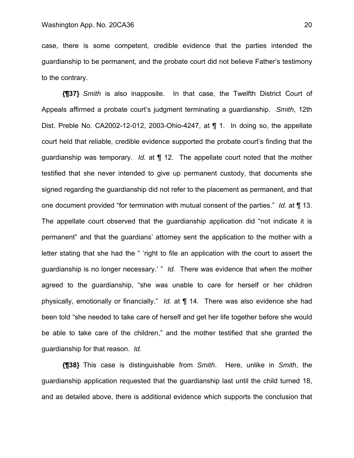case, there is some competent, credible evidence that the parties intended the guardianship to be permanent, and the probate court did not believe Father's testimony to the contrary.

**{¶37}** *Smith* is also inapposite. In that case, the Twelfth District Court of Appeals affirmed a probate court's judgment terminating a guardianship. *Smith*, 12th Dist. Preble No. CA2002-12-012, 2003-Ohio-4247, at ¶ 1. In doing so, the appellate court held that reliable, credible evidence supported the probate court's finding that the guardianship was temporary. *Id.* at ¶ 12. The appellate court noted that the mother testified that she never intended to give up permanent custody, that documents she signed regarding the guardianship did not refer to the placement as permanent, and that one document provided "for termination with mutual consent of the parties." *Id.* at ¶ 13. The appellate court observed that the guardianship application did "not indicate it is permanent" and that the guardians' attorney sent the application to the mother with a letter stating that she had the " 'right to file an application with the court to assert the guardianship is no longer necessary.' " *Id.* There was evidence that when the mother agreed to the guardianship, "she was unable to care for herself or her children physically, emotionally or financially." *Id.* at ¶ 14. There was also evidence she had been told "she needed to take care of herself and get her life together before she would be able to take care of the children," and the mother testified that she granted the guardianship for that reason. *Id.*

**{¶38}** This case is distinguishable from *Smith*. Here, unlike in *Smith*, the guardianship application requested that the guardianship last until the child turned 18, and as detailed above, there is additional evidence which supports the conclusion that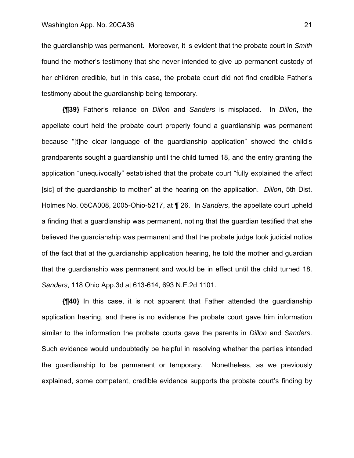the guardianship was permanent. Moreover, it is evident that the probate court in *Smith*  found the mother's testimony that she never intended to give up permanent custody of her children credible, but in this case, the probate court did not find credible Father's testimony about the guardianship being temporary.

**{¶39}** Father's reliance on *Dillon* and *Sanders* is misplaced. In *Dillon*, the appellate court held the probate court properly found a guardianship was permanent because "[t]he clear language of the guardianship application" showed the child's grandparents sought a guardianship until the child turned 18, and the entry granting the application "unequivocally" established that the probate court "fully explained the affect [sic] of the guardianship to mother" at the hearing on the application. *Dillon*, 5th Dist. Holmes No. 05CA008, 2005-Ohio-5217, at ¶ 26. In *Sanders*, the appellate court upheld a finding that a guardianship was permanent, noting that the guardian testified that she believed the guardianship was permanent and that the probate judge took judicial notice of the fact that at the guardianship application hearing, he told the mother and guardian that the guardianship was permanent and would be in effect until the child turned 18. *Sanders*, 118 Ohio App.3d at 613-614, 693 N.E.2d 1101.

**{¶40}** In this case, it is not apparent that Father attended the guardianship application hearing, and there is no evidence the probate court gave him information similar to the information the probate courts gave the parents in *Dillon* and *Sanders*. Such evidence would undoubtedly be helpful in resolving whether the parties intended the guardianship to be permanent or temporary. Nonetheless, as we previously explained, some competent, credible evidence supports the probate court's finding by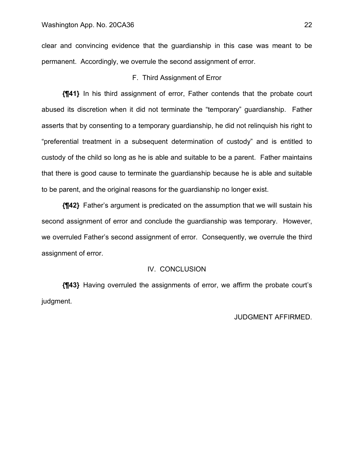clear and convincing evidence that the guardianship in this case was meant to be permanent. Accordingly, we overrule the second assignment of error.

## F. Third Assignment of Error

**{¶41}** In his third assignment of error, Father contends that the probate court abused its discretion when it did not terminate the "temporary" guardianship. Father asserts that by consenting to a temporary guardianship, he did not relinquish his right to "preferential treatment in a subsequent determination of custody" and is entitled to custody of the child so long as he is able and suitable to be a parent. Father maintains that there is good cause to terminate the guardianship because he is able and suitable to be parent, and the original reasons for the guardianship no longer exist.

**{¶42}** Father's argument is predicated on the assumption that we will sustain his second assignment of error and conclude the guardianship was temporary. However, we overruled Father's second assignment of error. Consequently, we overrule the third assignment of error.

### IV. CONCLUSION

**{¶43}** Having overruled the assignments of error, we affirm the probate court's judgment.

### JUDGMENT AFFIRMED.